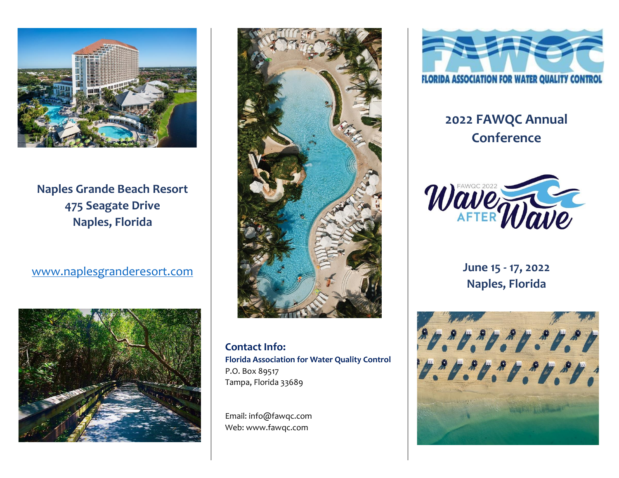

# **Naples Grande Beach Resort 475 Seagate Drive Naples, Florida**

[www.naplesgranderesort.com](http://www.naplesgranderesort.com/)





**Contact Info: Florida Association for Water Quality Control** P.O. Box 89517 Tampa, Florida 33689

Email: info@fawqc.com Web: www.fawqc.com



# **2022 FAWQC Annual Conference**



**June 15 - 17, 2022 Naples, Florida**